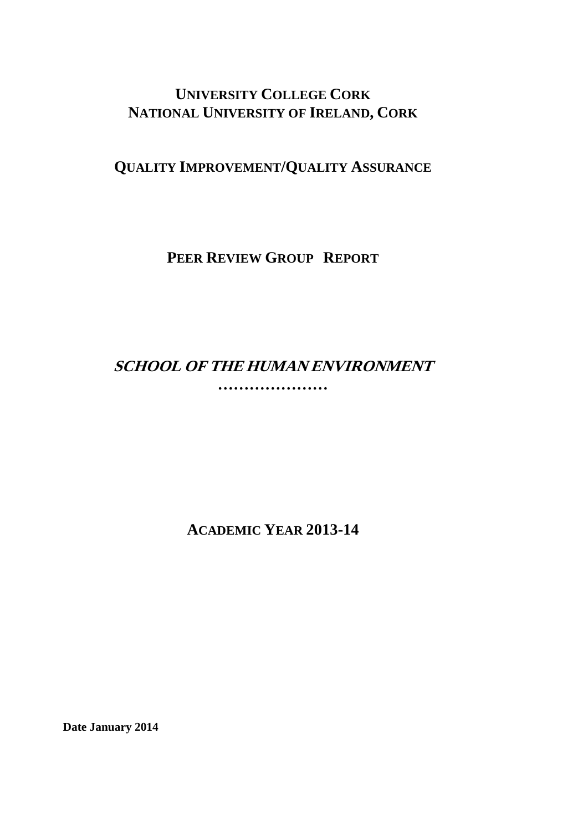# **UNIVERSITY COLLEGE CORK NATIONAL UNIVERSITY OF IRELAND, CORK**

# **QUALITY IMPROVEMENT/QUALITY ASSURANCE**

**PEER REVIEW GROUP REPORT**

# **SCHOOL OF THE HUMAN ENVIRONMENT …………………**

**ACADEMIC YEAR 2013-14**

**Date January 2014**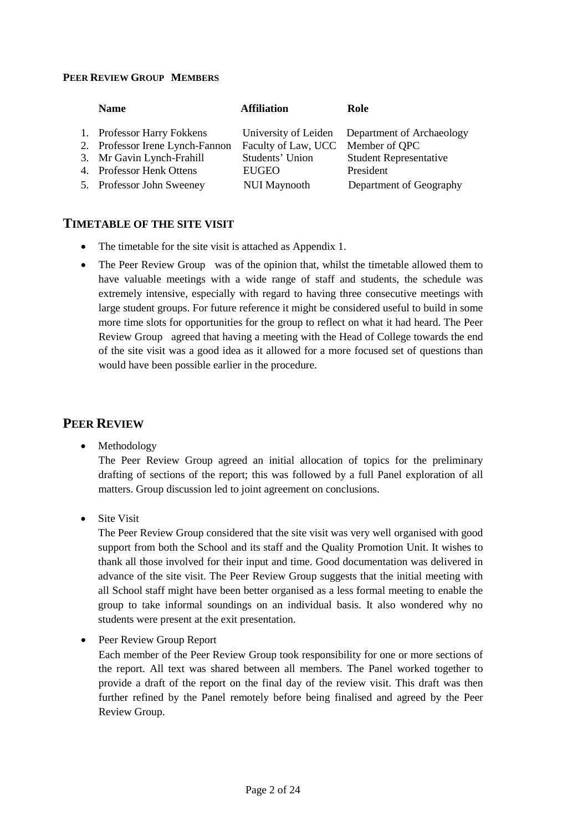#### **PEER REVIEW GROUP MEMBERS**

| <b>Name</b>                     | <b>Affiliation</b>  | Role                                           |
|---------------------------------|---------------------|------------------------------------------------|
| 1. Professor Harry Fokkens      |                     | University of Leiden Department of Archaeology |
| 2. Professor Irene Lynch-Fannon | Faculty of Law, UCC | Member of QPC                                  |
| 3. Mr Gavin Lynch-Frahill       | Students' Union     | <b>Student Representative</b>                  |
| 4. Professor Henk Ottens        | <b>EUGEO</b>        | President                                      |
| 5. Professor John Sweeney       | <b>NUI Maynooth</b> | Department of Geography                        |

#### **TIMETABLE OF THE SITE VISIT**

- The timetable for the site visit is attached as Appendix 1.
- The Peer Review Group was of the opinion that, whilst the timetable allowed them to have valuable meetings with a wide range of staff and students, the schedule was extremely intensive, especially with regard to having three consecutive meetings with large student groups. For future reference it might be considered useful to build in some more time slots for opportunities for the group to reflect on what it had heard. The Peer Review Group agreed that having a meeting with the Head of College towards the end of the site visit was a good idea as it allowed for a more focused set of questions than would have been possible earlier in the procedure.

# **PEER REVIEW**

**Methodology** 

The Peer Review Group agreed an initial allocation of topics for the preliminary drafting of sections of the report; this was followed by a full Panel exploration of all matters. Group discussion led to joint agreement on conclusions.

• Site Visit

The Peer Review Group considered that the site visit was very well organised with good support from both the School and its staff and the Quality Promotion Unit. It wishes to thank all those involved for their input and time. Good documentation was delivered in advance of the site visit. The Peer Review Group suggests that the initial meeting with all School staff might have been better organised as a less formal meeting to enable the group to take informal soundings on an individual basis. It also wondered why no students were present at the exit presentation.

• Peer Review Group Report

Each member of the Peer Review Group took responsibility for one or more sections of the report. All text was shared between all members. The Panel worked together to provide a draft of the report on the final day of the review visit. This draft was then further refined by the Panel remotely before being finalised and agreed by the Peer Review Group.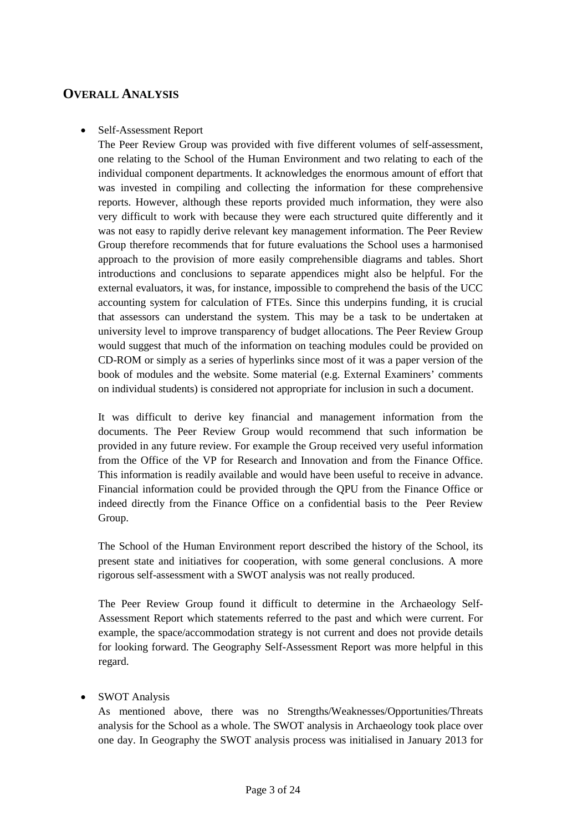# **OVERALL ANALYSIS**

## • Self-Assessment Report

The Peer Review Group was provided with five different volumes of self-assessment, one relating to the School of the Human Environment and two relating to each of the individual component departments. It acknowledges the enormous amount of effort that was invested in compiling and collecting the information for these comprehensive reports. However, although these reports provided much information, they were also very difficult to work with because they were each structured quite differently and it was not easy to rapidly derive relevant key management information. The Peer Review Group therefore recommends that for future evaluations the School uses a harmonised approach to the provision of more easily comprehensible diagrams and tables. Short introductions and conclusions to separate appendices might also be helpful. For the external evaluators, it was, for instance, impossible to comprehend the basis of the UCC accounting system for calculation of FTEs. Since this underpins funding, it is crucial that assessors can understand the system. This may be a task to be undertaken at university level to improve transparency of budget allocations. The Peer Review Group would suggest that much of the information on teaching modules could be provided on CD-ROM or simply as a series of hyperlinks since most of it was a paper version of the book of modules and the website. Some material (e.g. External Examiners' comments on individual students) is considered not appropriate for inclusion in such a document.

It was difficult to derive key financial and management information from the documents. The Peer Review Group would recommend that such information be provided in any future review. For example the Group received very useful information from the Office of the VP for Research and Innovation and from the Finance Office. This information is readily available and would have been useful to receive in advance. Financial information could be provided through the QPU from the Finance Office or indeed directly from the Finance Office on a confidential basis to the Peer Review Group.

The School of the Human Environment report described the history of the School, its present state and initiatives for cooperation, with some general conclusions. A more rigorous self-assessment with a SWOT analysis was not really produced.

The Peer Review Group found it difficult to determine in the Archaeology Self-Assessment Report which statements referred to the past and which were current. For example, the space/accommodation strategy is not current and does not provide details for looking forward. The Geography Self-Assessment Report was more helpful in this regard.

## • SWOT Analysis

As mentioned above, there was no Strengths/Weaknesses/Opportunities/Threats analysis for the School as a whole. The SWOT analysis in Archaeology took place over one day. In Geography the SWOT analysis process was initialised in January 2013 for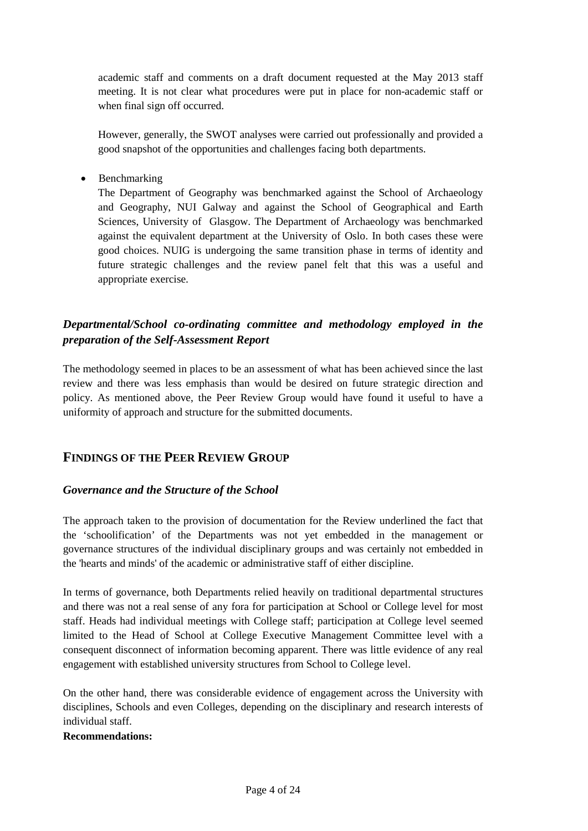academic staff and comments on a draft document requested at the May 2013 staff meeting. It is not clear what procedures were put in place for non-academic staff or when final sign off occurred.

However, generally, the SWOT analyses were carried out professionally and provided a good snapshot of the opportunities and challenges facing both departments.

• Benchmarking

The Department of Geography was benchmarked against the School of Archaeology and Geography, NUI Galway and against the School of Geographical and Earth Sciences, University of Glasgow. The Department of Archaeology was benchmarked against the equivalent department at the University of Oslo. In both cases these were good choices. NUIG is undergoing the same transition phase in terms of identity and future strategic challenges and the review panel felt that this was a useful and appropriate exercise*.*

# *Departmental/School co-ordinating committee and methodology employed in the preparation of the Self-Assessment Report*

The methodology seemed in places to be an assessment of what has been achieved since the last review and there was less emphasis than would be desired on future strategic direction and policy. As mentioned above, the Peer Review Group would have found it useful to have a uniformity of approach and structure for the submitted documents.

# **FINDINGS OF THE PEER REVIEW GROUP**

## *Governance and the Structure of the School*

The approach taken to the provision of documentation for the Review underlined the fact that the 'schoolification' of the Departments was not yet embedded in the management or governance structures of the individual disciplinary groups and was certainly not embedded in the 'hearts and minds' of the academic or administrative staff of either discipline.

In terms of governance, both Departments relied heavily on traditional departmental structures and there was not a real sense of any fora for participation at School or College level for most staff. Heads had individual meetings with College staff; participation at College level seemed limited to the Head of School at College Executive Management Committee level with a consequent disconnect of information becoming apparent. There was little evidence of any real engagement with established university structures from School to College level.

On the other hand, there was considerable evidence of engagement across the University with disciplines, Schools and even Colleges, depending on the disciplinary and research interests of individual staff.

#### **Recommendations:**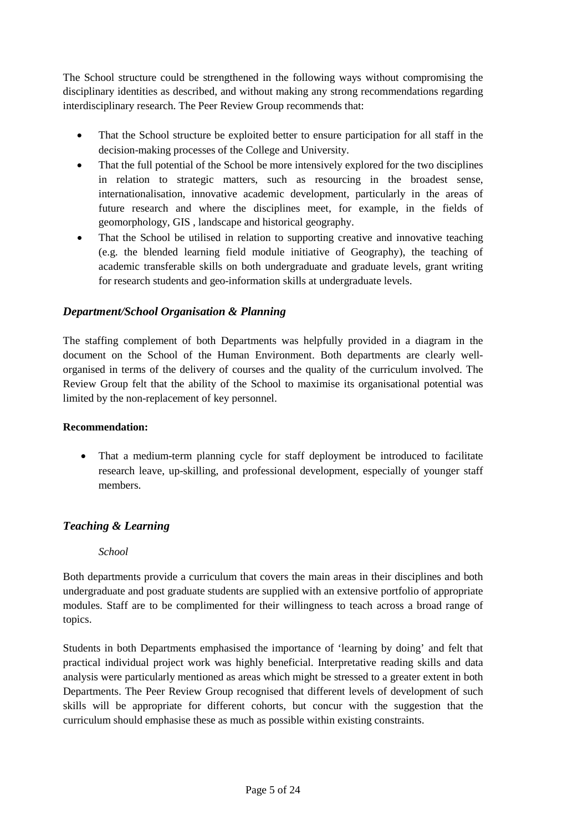The School structure could be strengthened in the following ways without compromising the disciplinary identities as described, and without making any strong recommendations regarding interdisciplinary research. The Peer Review Group recommends that:

- That the School structure be exploited better to ensure participation for all staff in the decision-making processes of the College and University.
- That the full potential of the School be more intensively explored for the two disciplines in relation to strategic matters, such as resourcing in the broadest sense, internationalisation, innovative academic development, particularly in the areas of future research and where the disciplines meet, for example, in the fields of geomorphology, GIS , landscape and historical geography.
- That the School be utilised in relation to supporting creative and innovative teaching (e.g. the blended learning field module initiative of Geography), the teaching of academic transferable skills on both undergraduate and graduate levels, grant writing for research students and geo-information skills at undergraduate levels.

## *Department/School Organisation & Planning*

The staffing complement of both Departments was helpfully provided in a diagram in the document on the School of the Human Environment. Both departments are clearly wellorganised in terms of the delivery of courses and the quality of the curriculum involved. The Review Group felt that the ability of the School to maximise its organisational potential was limited by the non-replacement of key personnel.

## **Recommendation:**

• That a medium-term planning cycle for staff deployment be introduced to facilitate research leave, up-skilling, and professional development, especially of younger staff members.

# *Teaching & Learning*

## *School*

Both departments provide a curriculum that covers the main areas in their disciplines and both undergraduate and post graduate students are supplied with an extensive portfolio of appropriate modules. Staff are to be complimented for their willingness to teach across a broad range of topics.

Students in both Departments emphasised the importance of 'learning by doing' and felt that practical individual project work was highly beneficial. Interpretative reading skills and data analysis were particularly mentioned as areas which might be stressed to a greater extent in both Departments. The Peer Review Group recognised that different levels of development of such skills will be appropriate for different cohorts, but concur with the suggestion that the curriculum should emphasise these as much as possible within existing constraints.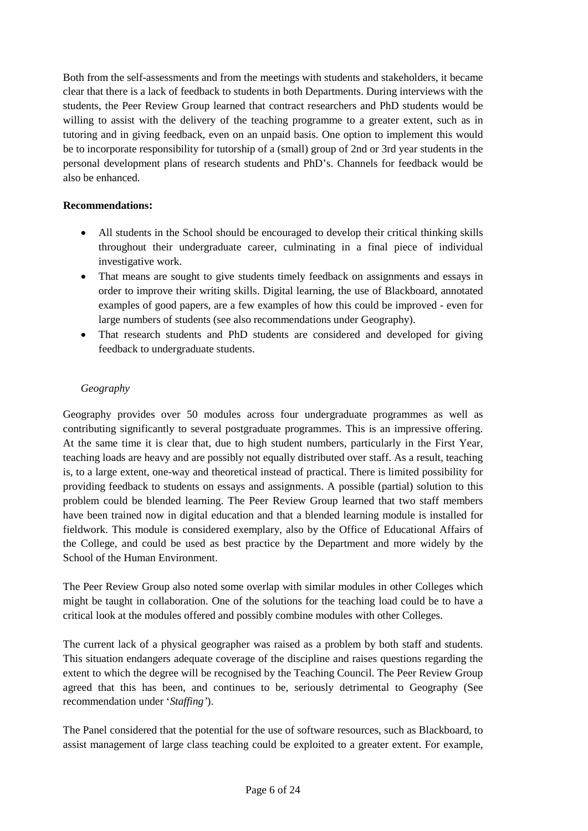Both from the self-assessments and from the meetings with students and stakeholders, it became clear that there is a lack of feedback to students in both Departments. During interviews with the students, the Peer Review Group learned that contract researchers and PhD students would be willing to assist with the delivery of the teaching programme to a greater extent, such as in tutoring and in giving feedback, even on an unpaid basis. One option to implement this would be to incorporate responsibility for tutorship of a (small) group of 2nd or 3rd year students in the personal development plans of research students and PhD's. Channels for feedback would be also be enhanced.

## **Recommendations:**

- All students in the School should be encouraged to develop their critical thinking skills throughout their undergraduate career, culminating in a final piece of individual investigative work.
- That means are sought to give students timely feedback on assignments and essays in order to improve their writing skills. Digital learning, the use of Blackboard, annotated examples of good papers, are a few examples of how this could be improved - even for large numbers of students (see also recommendations under Geography).
- That research students and PhD students are considered and developed for giving feedback to undergraduate students.

## *Geography*

Geography provides over 50 modules across four undergraduate programmes as well as contributing significantly to several postgraduate programmes. This is an impressive offering. At the same time it is clear that, due to high student numbers, particularly in the First Year, teaching loads are heavy and are possibly not equally distributed over staff. As a result, teaching is, to a large extent, one-way and theoretical instead of practical. There is limited possibility for providing feedback to students on essays and assignments. A possible (partial) solution to this problem could be blended learning. The Peer Review Group learned that two staff members have been trained now in digital education and that a blended learning module is installed for fieldwork. This module is considered exemplary, also by the Office of Educational Affairs of the College, and could be used as best practice by the Department and more widely by the School of the Human Environment.

The Peer Review Group also noted some overlap with similar modules in other Colleges which might be taught in collaboration. One of the solutions for the teaching load could be to have a critical look at the modules offered and possibly combine modules with other Colleges.

The current lack of a physical geographer was raised as a problem by both staff and students. This situation endangers adequate coverage of the discipline and raises questions regarding the extent to which the degree will be recognised by the Teaching Council. The Peer Review Group agreed that this has been, and continues to be, seriously detrimental to Geography (See recommendation under '*Staffing'*).

The Panel considered that the potential for the use of software resources, such as Blackboard, to assist management of large class teaching could be exploited to a greater extent. For example,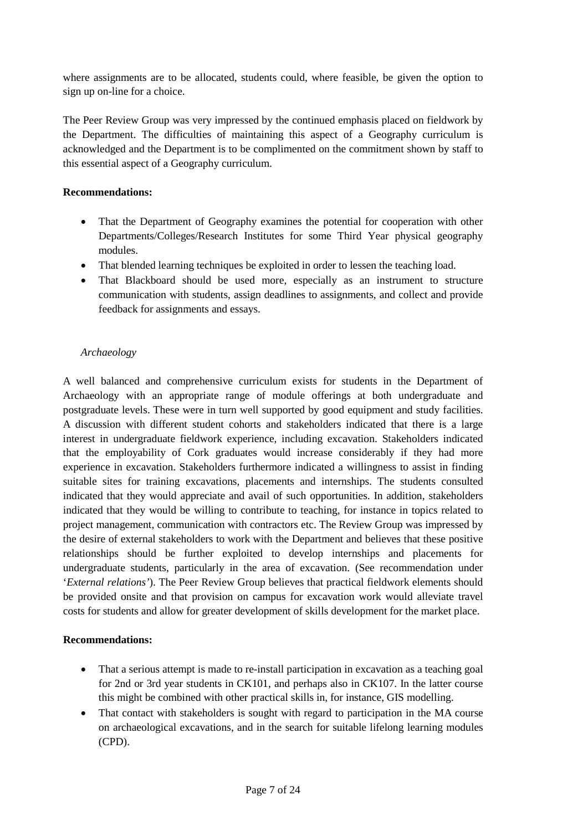where assignments are to be allocated, students could, where feasible, be given the option to sign up on-line for a choice.

The Peer Review Group was very impressed by the continued emphasis placed on fieldwork by the Department. The difficulties of maintaining this aspect of a Geography curriculum is acknowledged and the Department is to be complimented on the commitment shown by staff to this essential aspect of a Geography curriculum.

## **Recommendations:**

- That the Department of Geography examines the potential for cooperation with other Departments/Colleges/Research Institutes for some Third Year physical geography modules.
- That blended learning techniques be exploited in order to lessen the teaching load.
- That Blackboard should be used more, especially as an instrument to structure communication with students, assign deadlines to assignments, and collect and provide feedback for assignments and essays.

# *Archaeology*

A well balanced and comprehensive curriculum exists for students in the Department of Archaeology with an appropriate range of module offerings at both undergraduate and postgraduate levels. These were in turn well supported by good equipment and study facilities. A discussion with different student cohorts and stakeholders indicated that there is a large interest in undergraduate fieldwork experience, including excavation. Stakeholders indicated that the employability of Cork graduates would increase considerably if they had more experience in excavation. Stakeholders furthermore indicated a willingness to assist in finding suitable sites for training excavations, placements and internships. The students consulted indicated that they would appreciate and avail of such opportunities. In addition, stakeholders indicated that they would be willing to contribute to teaching, for instance in topics related to project management, communication with contractors etc. The Review Group was impressed by the desire of external stakeholders to work with the Department and believes that these positive relationships should be further exploited to develop internships and placements for undergraduate students, particularly in the area of excavation. (See recommendation under '*External relations'*). The Peer Review Group believes that practical fieldwork elements should be provided onsite and that provision on campus for excavation work would alleviate travel costs for students and allow for greater development of skills development for the market place.

## **Recommendations:**

- That a serious attempt is made to re-install participation in excavation as a teaching goal for 2nd or 3rd year students in CK101, and perhaps also in CK107. In the latter course this might be combined with other practical skills in, for instance, GIS modelling.
- That contact with stakeholders is sought with regard to participation in the MA course on archaeological excavations, and in the search for suitable lifelong learning modules (CPD).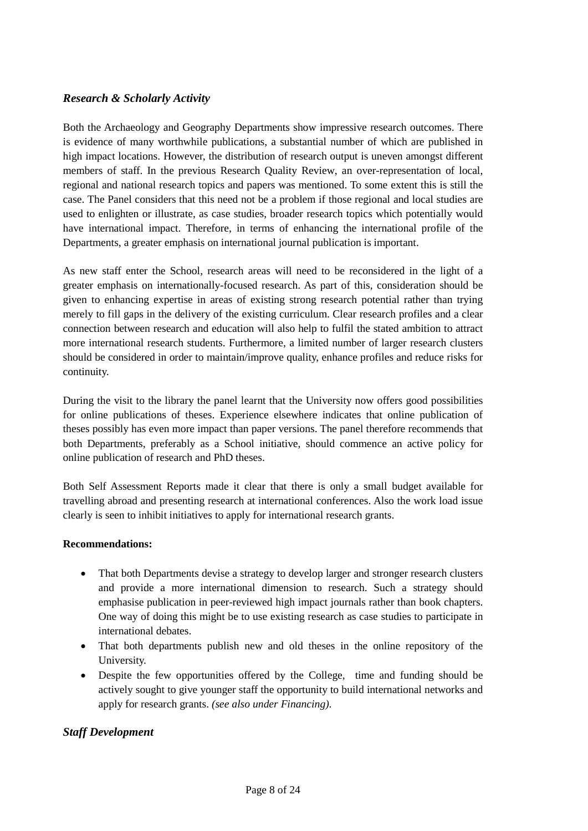## *Research & Scholarly Activity*

Both the Archaeology and Geography Departments show impressive research outcomes. There is evidence of many worthwhile publications, a substantial number of which are published in high impact locations. However, the distribution of research output is uneven amongst different members of staff. In the previous Research Quality Review, an over-representation of local, regional and national research topics and papers was mentioned. To some extent this is still the case. The Panel considers that this need not be a problem if those regional and local studies are used to enlighten or illustrate, as case studies, broader research topics which potentially would have international impact. Therefore, in terms of enhancing the international profile of the Departments, a greater emphasis on international journal publication is important.

As new staff enter the School, research areas will need to be reconsidered in the light of a greater emphasis on internationally-focused research. As part of this, consideration should be given to enhancing expertise in areas of existing strong research potential rather than trying merely to fill gaps in the delivery of the existing curriculum. Clear research profiles and a clear connection between research and education will also help to fulfil the stated ambition to attract more international research students. Furthermore, a limited number of larger research clusters should be considered in order to maintain/improve quality, enhance profiles and reduce risks for continuity.

During the visit to the library the panel learnt that the University now offers good possibilities for online publications of theses. Experience elsewhere indicates that online publication of theses possibly has even more impact than paper versions. The panel therefore recommends that both Departments, preferably as a School initiative, should commence an active policy for online publication of research and PhD theses.

Both Self Assessment Reports made it clear that there is only a small budget available for travelling abroad and presenting research at international conferences. Also the work load issue clearly is seen to inhibit initiatives to apply for international research grants.

#### **Recommendations:**

- That both Departments devise a strategy to develop larger and stronger research clusters and provide a more international dimension to research. Such a strategy should emphasise publication in peer-reviewed high impact journals rather than book chapters. One way of doing this might be to use existing research as case studies to participate in international debates.
- That both departments publish new and old theses in the online repository of the University.
- Despite the few opportunities offered by the College, time and funding should be actively sought to give younger staff the opportunity to build international networks and apply for research grants. *(see also under Financing)*.

## *Staff Development*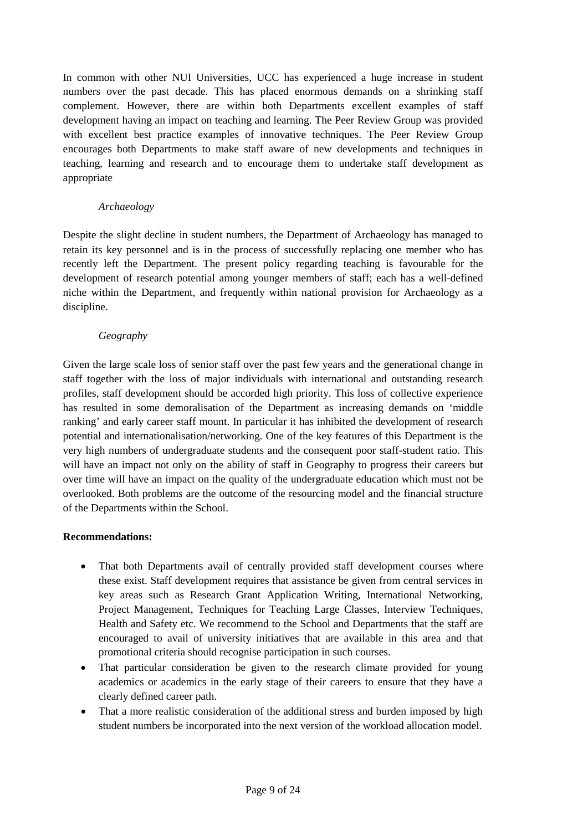In common with other NUI Universities, UCC has experienced a huge increase in student numbers over the past decade. This has placed enormous demands on a shrinking staff complement. However, there are within both Departments excellent examples of staff development having an impact on teaching and learning. The Peer Review Group was provided with excellent best practice examples of innovative techniques. The Peer Review Group encourages both Departments to make staff aware of new developments and techniques in teaching, learning and research and to encourage them to undertake staff development as appropriate

#### *Archaeology*

Despite the slight decline in student numbers, the Department of Archaeology has managed to retain its key personnel and is in the process of successfully replacing one member who has recently left the Department. The present policy regarding teaching is favourable for the development of research potential among younger members of staff; each has a well-defined niche within the Department, and frequently within national provision for Archaeology as a discipline.

#### *Geography*

Given the large scale loss of senior staff over the past few years and the generational change in staff together with the loss of major individuals with international and outstanding research profiles, staff development should be accorded high priority. This loss of collective experience has resulted in some demoralisation of the Department as increasing demands on 'middle ranking' and early career staff mount. In particular it has inhibited the development of research potential and internationalisation/networking. One of the key features of this Department is the very high numbers of undergraduate students and the consequent poor staff-student ratio. This will have an impact not only on the ability of staff in Geography to progress their careers but over time will have an impact on the quality of the undergraduate education which must not be overlooked. Both problems are the outcome of the resourcing model and the financial structure of the Departments within the School.

## **Recommendations:**

- That both Departments avail of centrally provided staff development courses where these exist. Staff development requires that assistance be given from central services in key areas such as Research Grant Application Writing, International Networking, Project Management, Techniques for Teaching Large Classes, Interview Techniques, Health and Safety etc. We recommend to the School and Departments that the staff are encouraged to avail of university initiatives that are available in this area and that promotional criteria should recognise participation in such courses.
- That particular consideration be given to the research climate provided for young academics or academics in the early stage of their careers to ensure that they have a clearly defined career path.
- That a more realistic consideration of the additional stress and burden imposed by high student numbers be incorporated into the next version of the workload allocation model.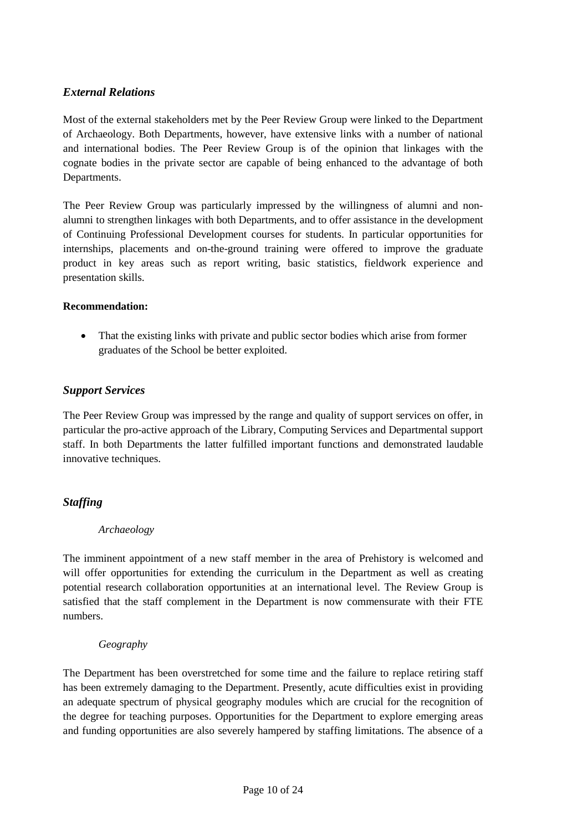# *External Relations*

Most of the external stakeholders met by the Peer Review Group were linked to the Department of Archaeology. Both Departments, however, have extensive links with a number of national and international bodies. The Peer Review Group is of the opinion that linkages with the cognate bodies in the private sector are capable of being enhanced to the advantage of both Departments.

The Peer Review Group was particularly impressed by the willingness of alumni and nonalumni to strengthen linkages with both Departments, and to offer assistance in the development of Continuing Professional Development courses for students. In particular opportunities for internships, placements and on-the-ground training were offered to improve the graduate product in key areas such as report writing, basic statistics, fieldwork experience and presentation skills.

#### **Recommendation:**

• That the existing links with private and public sector bodies which arise from former graduates of the School be better exploited.

## *Support Services*

The Peer Review Group was impressed by the range and quality of support services on offer, in particular the pro-active approach of the Library, Computing Services and Departmental support staff. In both Departments the latter fulfilled important functions and demonstrated laudable innovative techniques.

## *Staffing*

#### *Archaeology*

The imminent appointment of a new staff member in the area of Prehistory is welcomed and will offer opportunities for extending the curriculum in the Department as well as creating potential research collaboration opportunities at an international level. The Review Group is satisfied that the staff complement in the Department is now commensurate with their FTE numbers.

#### *Geography*

The Department has been overstretched for some time and the failure to replace retiring staff has been extremely damaging to the Department. Presently, acute difficulties exist in providing an adequate spectrum of physical geography modules which are crucial for the recognition of the degree for teaching purposes. Opportunities for the Department to explore emerging areas and funding opportunities are also severely hampered by staffing limitations. The absence of a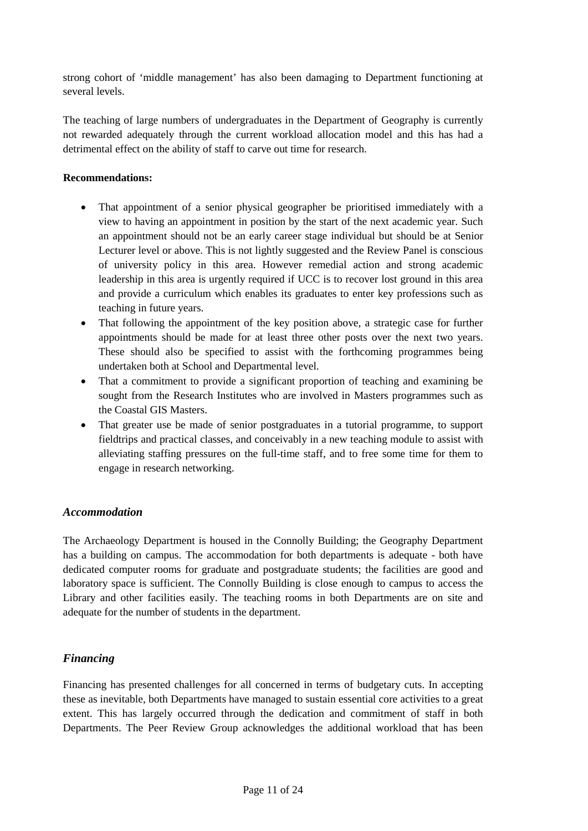strong cohort of 'middle management' has also been damaging to Department functioning at several levels.

The teaching of large numbers of undergraduates in the Department of Geography is currently not rewarded adequately through the current workload allocation model and this has had a detrimental effect on the ability of staff to carve out time for research.

## **Recommendations:**

- That appointment of a senior physical geographer be prioritised immediately with a view to having an appointment in position by the start of the next academic year. Such an appointment should not be an early career stage individual but should be at Senior Lecturer level or above. This is not lightly suggested and the Review Panel is conscious of university policy in this area. However remedial action and strong academic leadership in this area is urgently required if UCC is to recover lost ground in this area and provide a curriculum which enables its graduates to enter key professions such as teaching in future years.
- That following the appointment of the key position above, a strategic case for further appointments should be made for at least three other posts over the next two years. These should also be specified to assist with the forthcoming programmes being undertaken both at School and Departmental level.
- That a commitment to provide a significant proportion of teaching and examining be sought from the Research Institutes who are involved in Masters programmes such as the Coastal GIS Masters.
- That greater use be made of senior postgraduates in a tutorial programme, to support fieldtrips and practical classes, and conceivably in a new teaching module to assist with alleviating staffing pressures on the full-time staff, and to free some time for them to engage in research networking.

## *Accommodation*

The Archaeology Department is housed in the Connolly Building; the Geography Department has a building on campus. The accommodation for both departments is adequate - both have dedicated computer rooms for graduate and postgraduate students; the facilities are good and laboratory space is sufficient. The Connolly Building is close enough to campus to access the Library and other facilities easily. The teaching rooms in both Departments are on site and adequate for the number of students in the department.

## *Financing*

Financing has presented challenges for all concerned in terms of budgetary cuts. In accepting these as inevitable, both Departments have managed to sustain essential core activities to a great extent. This has largely occurred through the dedication and commitment of staff in both Departments. The Peer Review Group acknowledges the additional workload that has been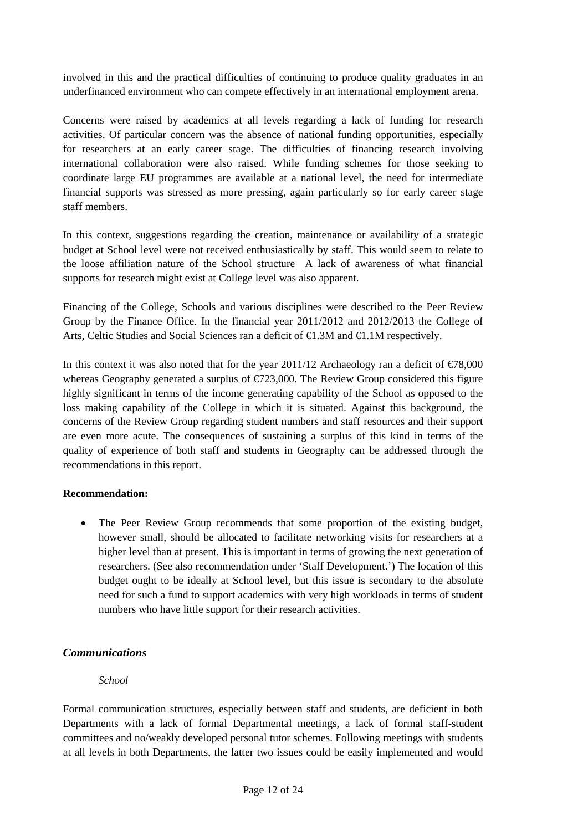involved in this and the practical difficulties of continuing to produce quality graduates in an underfinanced environment who can compete effectively in an international employment arena.

Concerns were raised by academics at all levels regarding a lack of funding for research activities. Of particular concern was the absence of national funding opportunities, especially for researchers at an early career stage. The difficulties of financing research involving international collaboration were also raised. While funding schemes for those seeking to coordinate large EU programmes are available at a national level, the need for intermediate financial supports was stressed as more pressing, again particularly so for early career stage staff members.

In this context, suggestions regarding the creation, maintenance or availability of a strategic budget at School level were not received enthusiastically by staff. This would seem to relate to the loose affiliation nature of the School structure A lack of awareness of what financial supports for research might exist at College level was also apparent.

Financing of the College, Schools and various disciplines were described to the Peer Review Group by the Finance Office. In the financial year 2011/2012 and 2012/2013 the College of Arts, Celtic Studies and Social Sciences ran a deficit of €1.3M and €1.1M respectively.

In this context it was also noted that for the year 2011/12 Archaeology ran a deficit of  $\epsilon$ 78,000 whereas Geography generated a surplus of  $\epsilon$ 723,000. The Review Group considered this figure highly significant in terms of the income generating capability of the School as opposed to the loss making capability of the College in which it is situated. Against this background, the concerns of the Review Group regarding student numbers and staff resources and their support are even more acute. The consequences of sustaining a surplus of this kind in terms of the quality of experience of both staff and students in Geography can be addressed through the recommendations in this report.

#### **Recommendation:**

• The Peer Review Group recommends that some proportion of the existing budget, however small, should be allocated to facilitate networking visits for researchers at a higher level than at present. This is important in terms of growing the next generation of researchers. (See also recommendation under 'Staff Development.') The location of this budget ought to be ideally at School level, but this issue is secondary to the absolute need for such a fund to support academics with very high workloads in terms of student numbers who have little support for their research activities.

## *Communications*

## *School*

Formal communication structures, especially between staff and students, are deficient in both Departments with a lack of formal Departmental meetings, a lack of formal staff-student committees and no/weakly developed personal tutor schemes. Following meetings with students at all levels in both Departments, the latter two issues could be easily implemented and would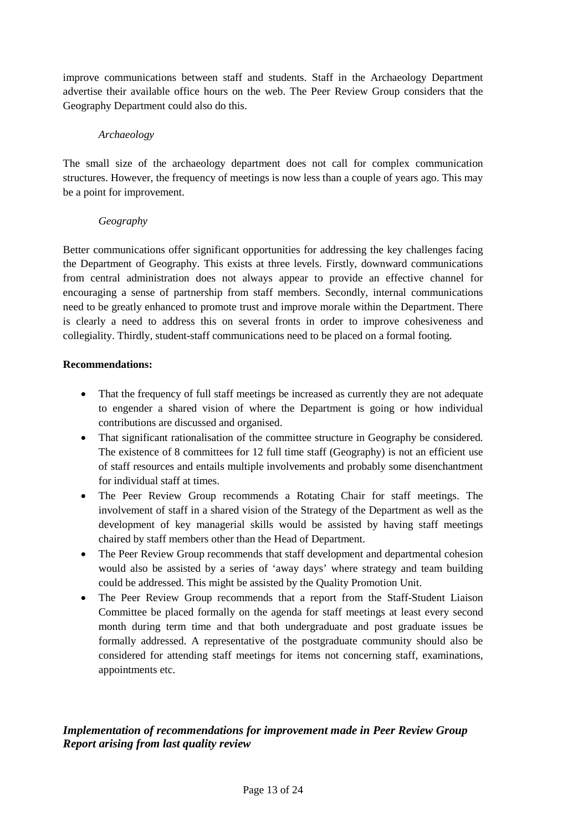improve communications between staff and students. Staff in the Archaeology Department advertise their available office hours on the web. The Peer Review Group considers that the Geography Department could also do this.

#### *Archaeology*

The small size of the archaeology department does not call for complex communication structures. However, the frequency of meetings is now less than a couple of years ago. This may be a point for improvement.

#### *Geography*

Better communications offer significant opportunities for addressing the key challenges facing the Department of Geography. This exists at three levels. Firstly, downward communications from central administration does not always appear to provide an effective channel for encouraging a sense of partnership from staff members. Secondly, internal communications need to be greatly enhanced to promote trust and improve morale within the Department. There is clearly a need to address this on several fronts in order to improve cohesiveness and collegiality. Thirdly, student-staff communications need to be placed on a formal footing.

#### **Recommendations:**

- That the frequency of full staff meetings be increased as currently they are not adequate to engender a shared vision of where the Department is going or how individual contributions are discussed and organised.
- That significant rationalisation of the committee structure in Geography be considered. The existence of 8 committees for 12 full time staff (Geography) is not an efficient use of staff resources and entails multiple involvements and probably some disenchantment for individual staff at times.
- The Peer Review Group recommends a Rotating Chair for staff meetings. The involvement of staff in a shared vision of the Strategy of the Department as well as the development of key managerial skills would be assisted by having staff meetings chaired by staff members other than the Head of Department.
- The Peer Review Group recommends that staff development and departmental cohesion would also be assisted by a series of 'away days' where strategy and team building could be addressed. This might be assisted by the Quality Promotion Unit.
- The Peer Review Group recommends that a report from the Staff-Student Liaison Committee be placed formally on the agenda for staff meetings at least every second month during term time and that both undergraduate and post graduate issues be formally addressed. A representative of the postgraduate community should also be considered for attending staff meetings for items not concerning staff, examinations, appointments etc.

# *Implementation of recommendations for improvement made in Peer Review Group Report arising from last quality review*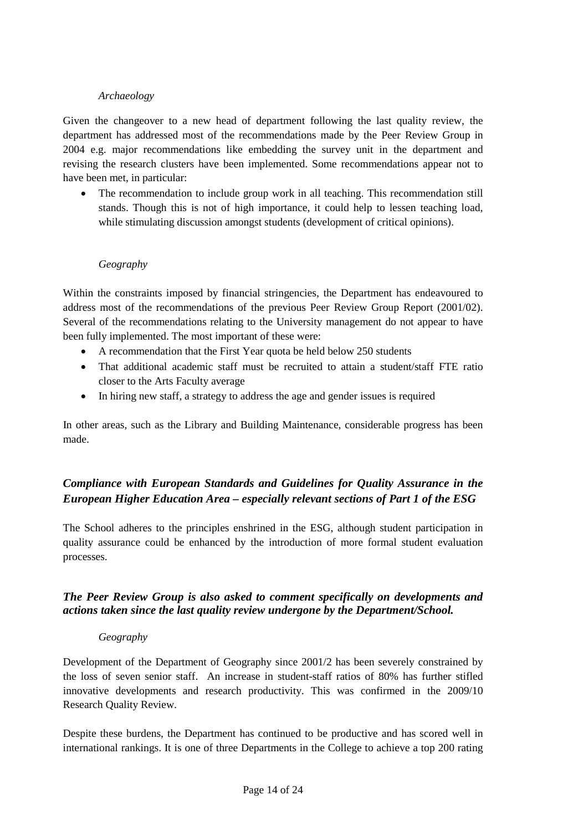#### *Archaeology*

Given the changeover to a new head of department following the last quality review, the department has addressed most of the recommendations made by the Peer Review Group in 2004 e.g. major recommendations like embedding the survey unit in the department and revising the research clusters have been implemented. Some recommendations appear not to have been met, in particular:

• The recommendation to include group work in all teaching. This recommendation still stands. Though this is not of high importance, it could help to lessen teaching load, while stimulating discussion amongst students (development of critical opinions).

#### *Geography*

Within the constraints imposed by financial stringencies, the Department has endeavoured to address most of the recommendations of the previous Peer Review Group Report (2001/02). Several of the recommendations relating to the University management do not appear to have been fully implemented. The most important of these were:

- A recommendation that the First Year quota be held below 250 students
- That additional academic staff must be recruited to attain a student/staff FTE ratio closer to the Arts Faculty average
- In hiring new staff, a strategy to address the age and gender issues is required

In other areas, such as the Library and Building Maintenance, considerable progress has been made.

# *Compliance with European Standards and Guidelines for Quality Assurance in the European Higher Education Area – especially relevant sections of Part 1 of the ESG*

The School adheres to the principles enshrined in the ESG, although student participation in quality assurance could be enhanced by the introduction of more formal student evaluation processes.

# *The Peer Review Group is also asked to comment specifically on developments and actions taken since the last quality review undergone by the Department/School.*

## *Geography*

Development of the Department of Geography since 2001/2 has been severely constrained by the loss of seven senior staff. An increase in student-staff ratios of 80% has further stifled innovative developments and research productivity. This was confirmed in the 2009/10 Research Quality Review.

Despite these burdens, the Department has continued to be productive and has scored well in international rankings. It is one of three Departments in the College to achieve a top 200 rating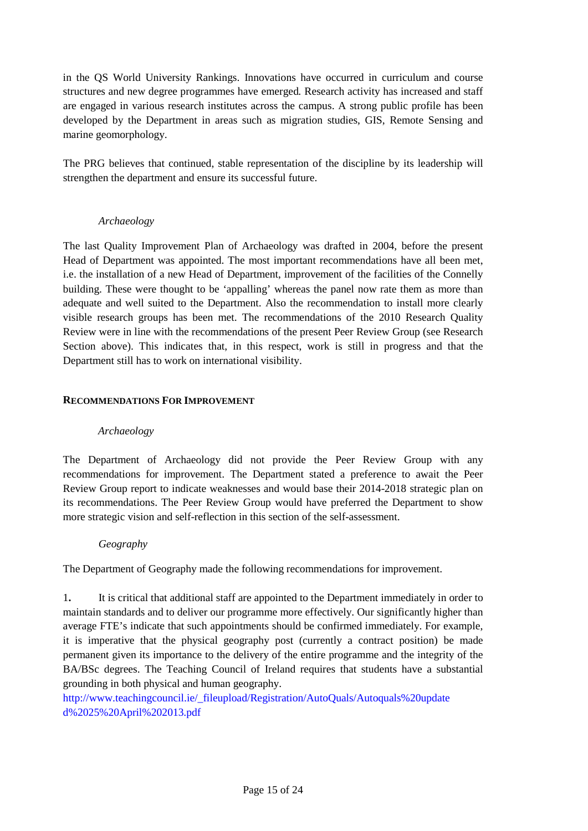in the QS World University Rankings. Innovations have occurred in curriculum and course structures and new degree programmes have emerged*.* Research activity has increased and staff are engaged in various research institutes across the campus. A strong public profile has been developed by the Department in areas such as migration studies, GIS, Remote Sensing and marine geomorphology.

The PRG believes that continued, stable representation of the discipline by its leadership will strengthen the department and ensure its successful future.

#### *Archaeology*

The last Quality Improvement Plan of Archaeology was drafted in 2004, before the present Head of Department was appointed. The most important recommendations have all been met, i.e. the installation of a new Head of Department, improvement of the facilities of the Connelly building. These were thought to be 'appalling' whereas the panel now rate them as more than adequate and well suited to the Department. Also the recommendation to install more clearly visible research groups has been met. The recommendations of the 2010 Research Quality Review were in line with the recommendations of the present Peer Review Group (see Research Section above). This indicates that, in this respect, work is still in progress and that the Department still has to work on international visibility.

#### **RECOMMENDATIONS FOR IMPROVEMENT**

#### *Archaeology*

The Department of Archaeology did not provide the Peer Review Group with any recommendations for improvement. The Department stated a preference to await the Peer Review Group report to indicate weaknesses and would base their 2014-2018 strategic plan on its recommendations. The Peer Review Group would have preferred the Department to show more strategic vision and self-reflection in this section of the self-assessment.

#### *Geography*

The Department of Geography made the following recommendations for improvement.

1**.** It is critical that additional staff are appointed to the Department immediately in order to maintain standards and to deliver our programme more effectively. Our significantly higher than average FTE's indicate that such appointments should be confirmed immediately. For example, it is imperative that the physical geography post (currently a contract position) be made permanent given its importance to the delivery of the entire programme and the integrity of the BA/BSc degrees. The Teaching Council of Ireland requires that students have a substantial grounding in both physical and human geography.

http://www.teachingcouncil.ie/\_fileupload/Registration/AutoQuals/Autoquals%20update d%2025%20April%202013.pdf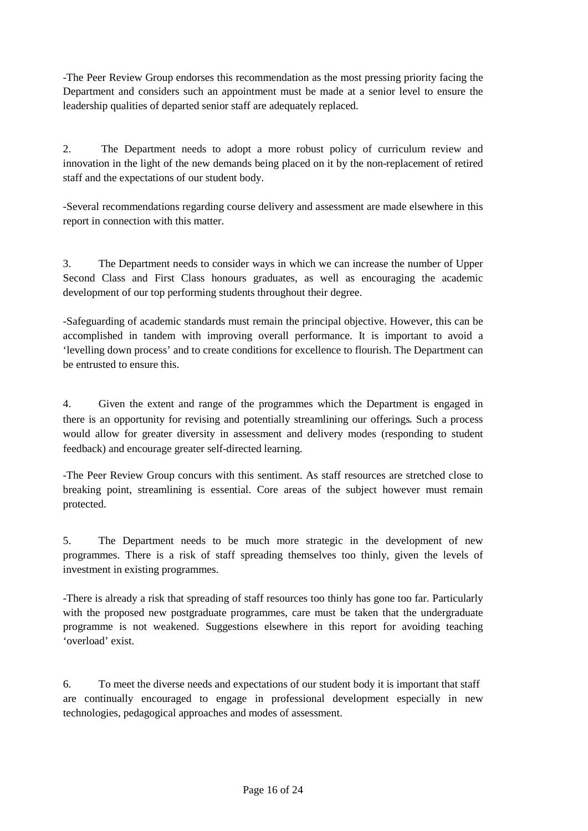-The Peer Review Group endorses this recommendation as the most pressing priority facing the Department and considers such an appointment must be made at a senior level to ensure the leadership qualities of departed senior staff are adequately replaced.

2. The Department needs to adopt a more robust policy of curriculum review and innovation in the light of the new demands being placed on it by the non-replacement of retired staff and the expectations of our student body.

-Several recommendations regarding course delivery and assessment are made elsewhere in this report in connection with this matter.

3. The Department needs to consider ways in which we can increase the number of Upper Second Class and First Class honours graduates, as well as encouraging the academic development of our top performing students throughout their degree.

-Safeguarding of academic standards must remain the principal objective. However, this can be accomplished in tandem with improving overall performance. It is important to avoid a 'levelling down process' and to create conditions for excellence to flourish. The Department can be entrusted to ensure this.

4. Given the extent and range of the programmes which the Department is engaged in there is an opportunity for revising and potentially streamlining our offerings. Such a process would allow for greater diversity in assessment and delivery modes (responding to student feedback) and encourage greater self-directed learning.

-The Peer Review Group concurs with this sentiment. As staff resources are stretched close to breaking point, streamlining is essential. Core areas of the subject however must remain protected.

5. The Department needs to be much more strategic in the development of new programmes. There is a risk of staff spreading themselves too thinly, given the levels of investment in existing programmes.

-There is already a risk that spreading of staff resources too thinly has gone too far. Particularly with the proposed new postgraduate programmes, care must be taken that the undergraduate programme is not weakened. Suggestions elsewhere in this report for avoiding teaching 'overload' exist.

6. To meet the diverse needs and expectations of our student body it is important that staff are continually encouraged to engage in professional development especially in new technologies, pedagogical approaches and modes of assessment.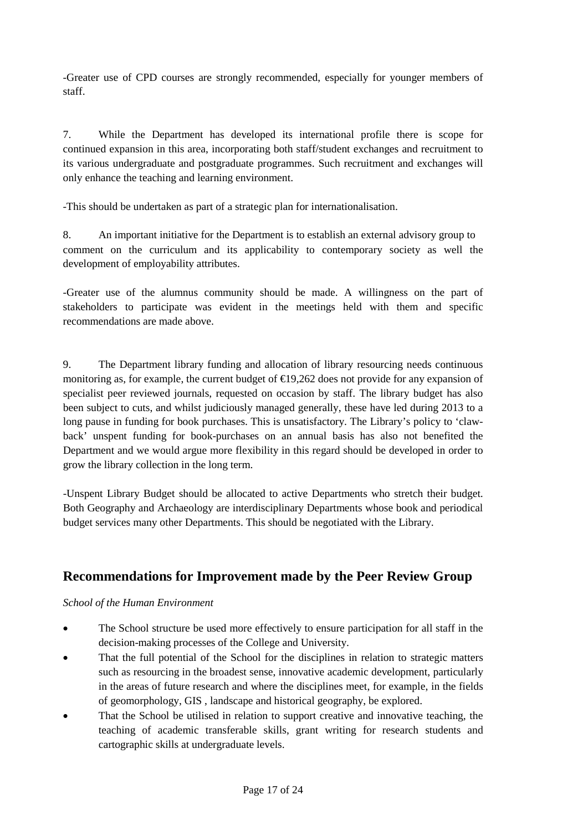-Greater use of CPD courses are strongly recommended, especially for younger members of staff.

7. While the Department has developed its international profile there is scope for continued expansion in this area, incorporating both staff/student exchanges and recruitment to its various undergraduate and postgraduate programmes. Such recruitment and exchanges will only enhance the teaching and learning environment.

-This should be undertaken as part of a strategic plan for internationalisation.

8. An important initiative for the Department is to establish an external advisory group to comment on the curriculum and its applicability to contemporary society as well the development of employability attributes.

-Greater use of the alumnus community should be made. A willingness on the part of stakeholders to participate was evident in the meetings held with them and specific recommendations are made above.

9. The Department library funding and allocation of library resourcing needs continuous monitoring as, for example, the current budget of  $\epsilon$ 19,262 does not provide for any expansion of specialist peer reviewed journals, requested on occasion by staff. The library budget has also been subject to cuts, and whilst judiciously managed generally, these have led during 2013 to a long pause in funding for book purchases. This is unsatisfactory. The Library's policy to 'clawback' unspent funding for book-purchases on an annual basis has also not benefited the Department and we would argue more flexibility in this regard should be developed in order to grow the library collection in the long term.

-Unspent Library Budget should be allocated to active Departments who stretch their budget. Both Geography and Archaeology are interdisciplinary Departments whose book and periodical budget services many other Departments. This should be negotiated with the Library.

# **Recommendations for Improvement made by the Peer Review Group**

# *School of the Human Environment*

- The School structure be used more effectively to ensure participation for all staff in the decision-making processes of the College and University.
- That the full potential of the School for the disciplines in relation to strategic matters such as resourcing in the broadest sense, innovative academic development, particularly in the areas of future research and where the disciplines meet, for example, in the fields of geomorphology, GIS , landscape and historical geography, be explored.
- That the School be utilised in relation to support creative and innovative teaching, the teaching of academic transferable skills, grant writing for research students and cartographic skills at undergraduate levels.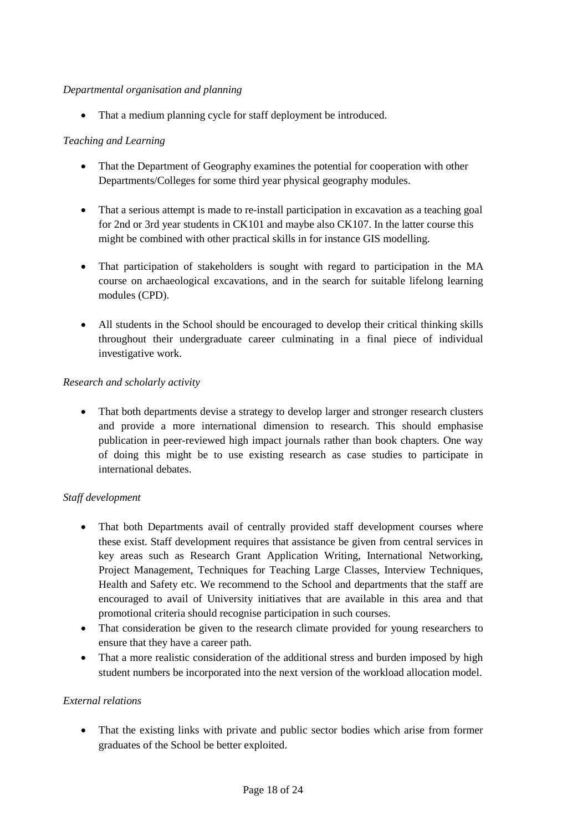## *Departmental organisation and planning*

• That a medium planning cycle for staff deployment be introduced.

## *Teaching and Learning*

- That the Department of Geography examines the potential for cooperation with other Departments/Colleges for some third year physical geography modules.
- That a serious attempt is made to re-install participation in excavation as a teaching goal for 2nd or 3rd year students in CK101 and maybe also CK107. In the latter course this might be combined with other practical skills in for instance GIS modelling.
- That participation of stakeholders is sought with regard to participation in the MA course on archaeological excavations, and in the search for suitable lifelong learning modules (CPD).
- All students in the School should be encouraged to develop their critical thinking skills throughout their undergraduate career culminating in a final piece of individual investigative work.

#### *Research and scholarly activity*

• That both departments devise a strategy to develop larger and stronger research clusters and provide a more international dimension to research. This should emphasise publication in peer-reviewed high impact journals rather than book chapters. One way of doing this might be to use existing research as case studies to participate in international debates.

## *Staff development*

- That both Departments avail of centrally provided staff development courses where these exist. Staff development requires that assistance be given from central services in key areas such as Research Grant Application Writing, International Networking, Project Management, Techniques for Teaching Large Classes, Interview Techniques, Health and Safety etc. We recommend to the School and departments that the staff are encouraged to avail of University initiatives that are available in this area and that promotional criteria should recognise participation in such courses.
- That consideration be given to the research climate provided for young researchers to ensure that they have a career path.
- That a more realistic consideration of the additional stress and burden imposed by high student numbers be incorporated into the next version of the workload allocation model.

#### *External relations*

• That the existing links with private and public sector bodies which arise from former graduates of the School be better exploited.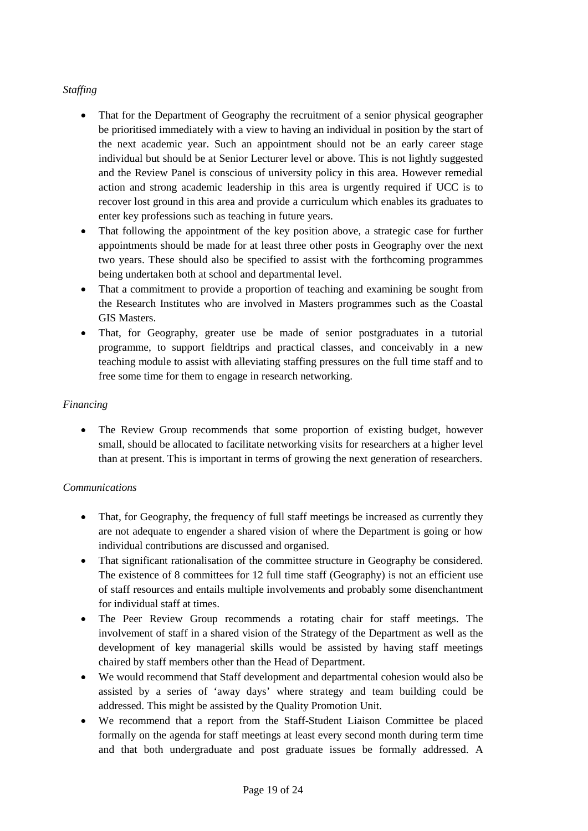## *Staffing*

- That for the Department of Geography the recruitment of a senior physical geographer be prioritised immediately with a view to having an individual in position by the start of the next academic year. Such an appointment should not be an early career stage individual but should be at Senior Lecturer level or above. This is not lightly suggested and the Review Panel is conscious of university policy in this area. However remedial action and strong academic leadership in this area is urgently required if UCC is to recover lost ground in this area and provide a curriculum which enables its graduates to enter key professions such as teaching in future years.
- That following the appointment of the key position above, a strategic case for further appointments should be made for at least three other posts in Geography over the next two years. These should also be specified to assist with the forthcoming programmes being undertaken both at school and departmental level.
- That a commitment to provide a proportion of teaching and examining be sought from the Research Institutes who are involved in Masters programmes such as the Coastal GIS Masters.
- That, for Geography, greater use be made of senior postgraduates in a tutorial programme, to support fieldtrips and practical classes, and conceivably in a new teaching module to assist with alleviating staffing pressures on the full time staff and to free some time for them to engage in research networking.

## *Financing*

• The Review Group recommends that some proportion of existing budget, however small, should be allocated to facilitate networking visits for researchers at a higher level than at present. This is important in terms of growing the next generation of researchers.

## *Communications*

- That, for Geography, the frequency of full staff meetings be increased as currently they are not adequate to engender a shared vision of where the Department is going or how individual contributions are discussed and organised.
- That significant rationalisation of the committee structure in Geography be considered. The existence of 8 committees for 12 full time staff (Geography) is not an efficient use of staff resources and entails multiple involvements and probably some disenchantment for individual staff at times.
- The Peer Review Group recommends a rotating chair for staff meetings. The involvement of staff in a shared vision of the Strategy of the Department as well as the development of key managerial skills would be assisted by having staff meetings chaired by staff members other than the Head of Department.
- We would recommend that Staff development and departmental cohesion would also be assisted by a series of 'away days' where strategy and team building could be addressed. This might be assisted by the Quality Promotion Unit.
- We recommend that a report from the Staff-Student Liaison Committee be placed formally on the agenda for staff meetings at least every second month during term time and that both undergraduate and post graduate issues be formally addressed. A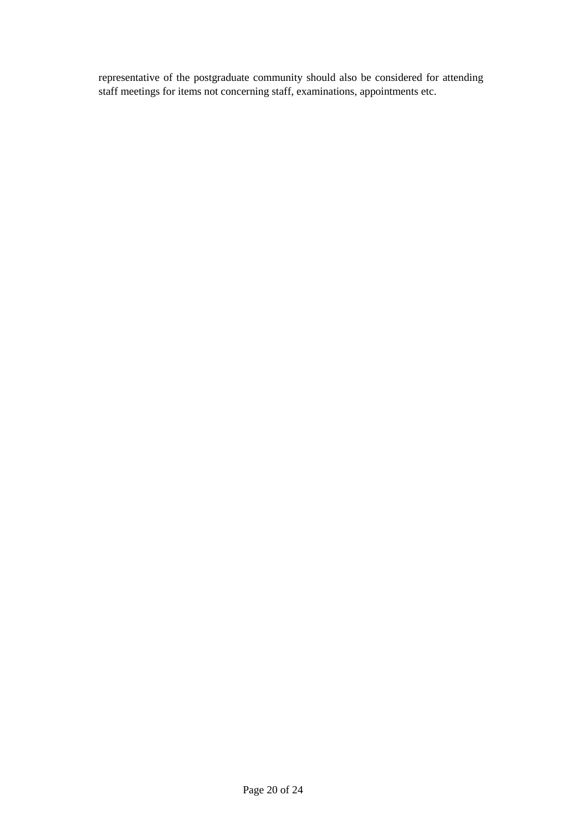representative of the postgraduate community should also be considered for attending staff meetings for items not concerning staff, examinations, appointments etc.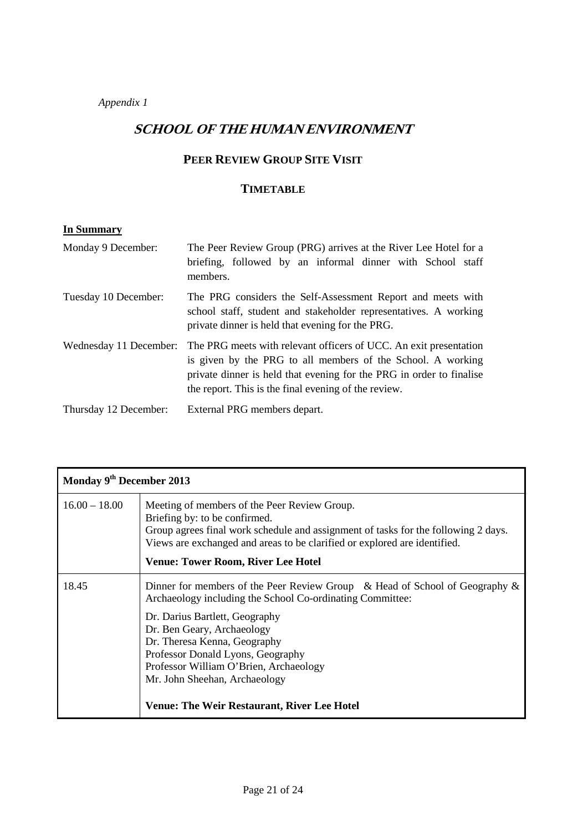*Appendix 1* 

# **SCHOOL OF THE HUMAN ENVIRONMENT**

# **PEER REVIEW GROUP SITE VISIT**

## **TIMETABLE**

# **In Summary**

| Monday 9 December:     | The Peer Review Group (PRG) arrives at the River Lee Hotel for a<br>briefing, followed by an informal dinner with School staff<br>members.                                                                                                                       |
|------------------------|------------------------------------------------------------------------------------------------------------------------------------------------------------------------------------------------------------------------------------------------------------------|
| Tuesday 10 December:   | The PRG considers the Self-Assessment Report and meets with<br>school staff, student and stakeholder representatives. A working<br>private dinner is held that evening for the PRG.                                                                              |
| Wednesday 11 December: | The PRG meets with relevant officers of UCC. An exit presentation<br>is given by the PRG to all members of the School. A working<br>private dinner is held that evening for the PRG in order to finalise<br>the report. This is the final evening of the review. |
| Thursday 12 December:  | External PRG members depart.                                                                                                                                                                                                                                     |

| Monday 9 <sup>th</sup> December 2013 |                                                                                                                                                                                                                                                                                                                                                                                                                   |  |
|--------------------------------------|-------------------------------------------------------------------------------------------------------------------------------------------------------------------------------------------------------------------------------------------------------------------------------------------------------------------------------------------------------------------------------------------------------------------|--|
| $16.00 - 18.00$                      | Meeting of members of the Peer Review Group.<br>Briefing by: to be confirmed.<br>Group agrees final work schedule and assignment of tasks for the following 2 days.<br>Views are exchanged and areas to be clarified or explored are identified.<br><b>Venue: Tower Room, River Lee Hotel</b>                                                                                                                     |  |
| 18.45                                | Dinner for members of the Peer Review Group & Head of School of Geography $\&$<br>Archaeology including the School Co-ordinating Committee:<br>Dr. Darius Bartlett, Geography<br>Dr. Ben Geary, Archaeology<br>Dr. Theresa Kenna, Geography<br>Professor Donald Lyons, Geography<br>Professor William O'Brien, Archaeology<br>Mr. John Sheehan, Archaeology<br><b>Venue: The Weir Restaurant, River Lee Hotel</b> |  |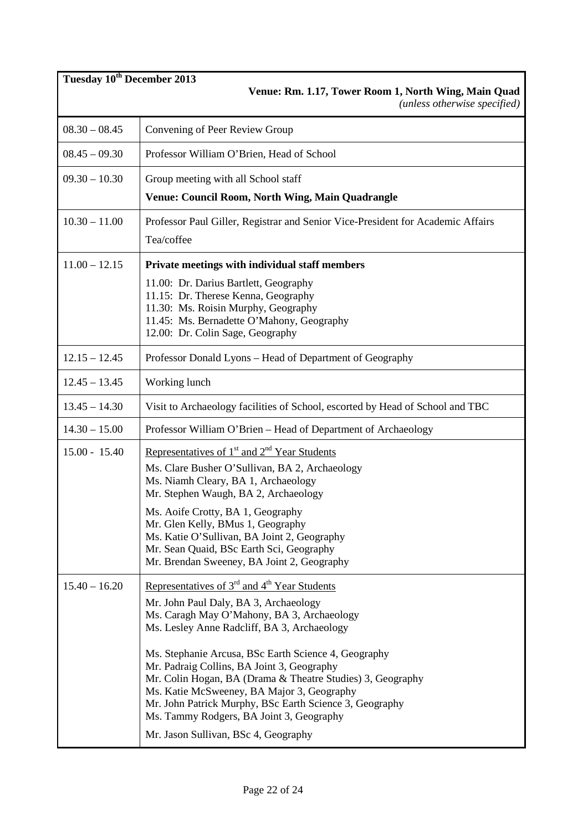| Tuesday 10 <sup>th</sup> December 2013<br>Venue: Rm. 1.17, Tower Room 1, North Wing, Main Quad<br>(unless otherwise specified) |                                                                                                                                                                                                                                                                                                                       |  |
|--------------------------------------------------------------------------------------------------------------------------------|-----------------------------------------------------------------------------------------------------------------------------------------------------------------------------------------------------------------------------------------------------------------------------------------------------------------------|--|
| $08.30 - 08.45$                                                                                                                | Convening of Peer Review Group                                                                                                                                                                                                                                                                                        |  |
| $08.45 - 09.30$                                                                                                                | Professor William O'Brien, Head of School                                                                                                                                                                                                                                                                             |  |
| $09.30 - 10.30$                                                                                                                | Group meeting with all School staff                                                                                                                                                                                                                                                                                   |  |
|                                                                                                                                | <b>Venue: Council Room, North Wing, Main Quadrangle</b>                                                                                                                                                                                                                                                               |  |
| $10.30 - 11.00$                                                                                                                | Professor Paul Giller, Registrar and Senior Vice-President for Academic Affairs<br>Tea/coffee                                                                                                                                                                                                                         |  |
| $11.00 - 12.15$                                                                                                                | Private meetings with individual staff members                                                                                                                                                                                                                                                                        |  |
|                                                                                                                                | 11.00: Dr. Darius Bartlett, Geography<br>11.15: Dr. Therese Kenna, Geography<br>11.30: Ms. Roisin Murphy, Geography<br>11.45: Ms. Bernadette O'Mahony, Geography<br>12.00: Dr. Colin Sage, Geography                                                                                                                  |  |
| $12.15 - 12.45$                                                                                                                | Professor Donald Lyons - Head of Department of Geography                                                                                                                                                                                                                                                              |  |
| $12.45 - 13.45$                                                                                                                | Working lunch                                                                                                                                                                                                                                                                                                         |  |
| $13.45 - 14.30$                                                                                                                | Visit to Archaeology facilities of School, escorted by Head of School and TBC                                                                                                                                                                                                                                         |  |
| $14.30 - 15.00$                                                                                                                | Professor William O'Brien - Head of Department of Archaeology                                                                                                                                                                                                                                                         |  |
| $15.00 - 15.40$                                                                                                                | Representatives of $1st$ and $2nd$ Year Students                                                                                                                                                                                                                                                                      |  |
|                                                                                                                                | Ms. Clare Busher O'Sullivan, BA 2, Archaeology<br>Ms. Niamh Cleary, BA 1, Archaeology                                                                                                                                                                                                                                 |  |
|                                                                                                                                | Mr. Stephen Waugh, BA 2, Archaeology                                                                                                                                                                                                                                                                                  |  |
|                                                                                                                                | Ms. Aoife Crotty, BA 1, Geography<br>Mr. Glen Kelly, BMus 1, Geography                                                                                                                                                                                                                                                |  |
|                                                                                                                                | Ms. Katie O'Sullivan, BA Joint 2, Geography                                                                                                                                                                                                                                                                           |  |
|                                                                                                                                | Mr. Sean Quaid, BSc Earth Sci, Geography<br>Mr. Brendan Sweeney, BA Joint 2, Geography                                                                                                                                                                                                                                |  |
| $15.40 - 16.20$                                                                                                                | Representatives of $3rd$ and $4th$ Year Students                                                                                                                                                                                                                                                                      |  |
|                                                                                                                                | Mr. John Paul Daly, BA 3, Archaeology<br>Ms. Caragh May O'Mahony, BA 3, Archaeology<br>Ms. Lesley Anne Radcliff, BA 3, Archaeology                                                                                                                                                                                    |  |
|                                                                                                                                | Ms. Stephanie Arcusa, BSc Earth Science 4, Geography<br>Mr. Padraig Collins, BA Joint 3, Geography<br>Mr. Colin Hogan, BA (Drama & Theatre Studies) 3, Geography<br>Ms. Katie McSweeney, BA Major 3, Geography<br>Mr. John Patrick Murphy, BSc Earth Science 3, Geography<br>Ms. Tammy Rodgers, BA Joint 3, Geography |  |
|                                                                                                                                | Mr. Jason Sullivan, BSc 4, Geography                                                                                                                                                                                                                                                                                  |  |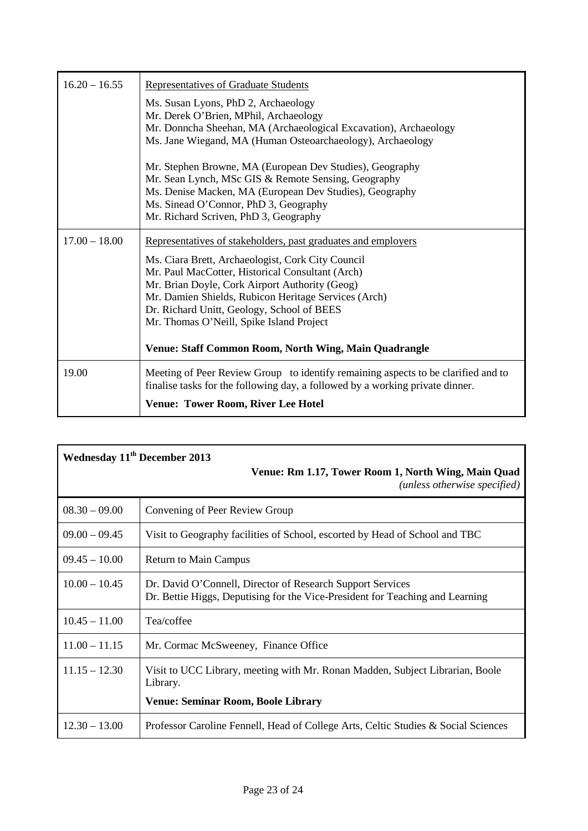| $16.20 - 16.55$ | Representatives of Graduate Students                                                                                                                               |
|-----------------|--------------------------------------------------------------------------------------------------------------------------------------------------------------------|
|                 | Ms. Susan Lyons, PhD 2, Archaeology                                                                                                                                |
|                 | Mr. Derek O'Brien, MPhil, Archaeology                                                                                                                              |
|                 | Mr. Donncha Sheehan, MA (Archaeological Excavation), Archaeology                                                                                                   |
|                 | Ms. Jane Wiegand, MA (Human Osteoarchaeology), Archaeology                                                                                                         |
|                 | Mr. Stephen Browne, MA (European Dev Studies), Geography                                                                                                           |
|                 | Mr. Sean Lynch, MSc GIS & Remote Sensing, Geography                                                                                                                |
|                 | Ms. Denise Macken, MA (European Dev Studies), Geography                                                                                                            |
|                 | Ms. Sinead O'Connor, PhD 3, Geography                                                                                                                              |
|                 | Mr. Richard Scriven, PhD 3, Geography                                                                                                                              |
| $17.00 - 18.00$ | Representatives of stakeholders, past graduates and employers                                                                                                      |
|                 | Ms. Ciara Brett, Archaeologist, Cork City Council                                                                                                                  |
|                 | Mr. Paul MacCotter, Historical Consultant (Arch)                                                                                                                   |
|                 | Mr. Brian Doyle, Cork Airport Authority (Geog)                                                                                                                     |
|                 | Mr. Damien Shields, Rubicon Heritage Services (Arch)                                                                                                               |
|                 | Dr. Richard Unitt, Geology, School of BEES                                                                                                                         |
|                 | Mr. Thomas O'Neill, Spike Island Project                                                                                                                           |
|                 | Venue: Staff Common Room, North Wing, Main Quadrangle                                                                                                              |
|                 |                                                                                                                                                                    |
| 19.00           | Meeting of Peer Review Group to identify remaining aspects to be clarified and to<br>finalise tasks for the following day, a followed by a working private dinner. |
|                 | <b>Venue: Tower Room, River Lee Hotel</b>                                                                                                                          |

| Wednesday 11 <sup>th</sup> December 2013<br>Venue: Rm 1.17, Tower Room 1, North Wing, Main Quad |                                                                                                                                             |  |  |
|-------------------------------------------------------------------------------------------------|---------------------------------------------------------------------------------------------------------------------------------------------|--|--|
| (unless otherwise specified)                                                                    |                                                                                                                                             |  |  |
| $08.30 - 09.00$                                                                                 | Convening of Peer Review Group                                                                                                              |  |  |
| $09.00 - 09.45$                                                                                 | Visit to Geography facilities of School, escorted by Head of School and TBC                                                                 |  |  |
| $09.45 - 10.00$                                                                                 | <b>Return to Main Campus</b>                                                                                                                |  |  |
| $10.00 - 10.45$                                                                                 | Dr. David O'Connell, Director of Research Support Services<br>Dr. Bettie Higgs, Deputising for the Vice-President for Teaching and Learning |  |  |
| $10.45 - 11.00$                                                                                 | Tea/coffee                                                                                                                                  |  |  |
| $11.00 - 11.15$                                                                                 | Mr. Cormac McSweeney, Finance Office                                                                                                        |  |  |
| $11.15 - 12.30$                                                                                 | Visit to UCC Library, meeting with Mr. Ronan Madden, Subject Librarian, Boole<br>Library.                                                   |  |  |
|                                                                                                 | <b>Venue: Seminar Room, Boole Library</b>                                                                                                   |  |  |
| $12.30 - 13.00$                                                                                 | Professor Caroline Fennell, Head of College Arts, Celtic Studies & Social Sciences                                                          |  |  |